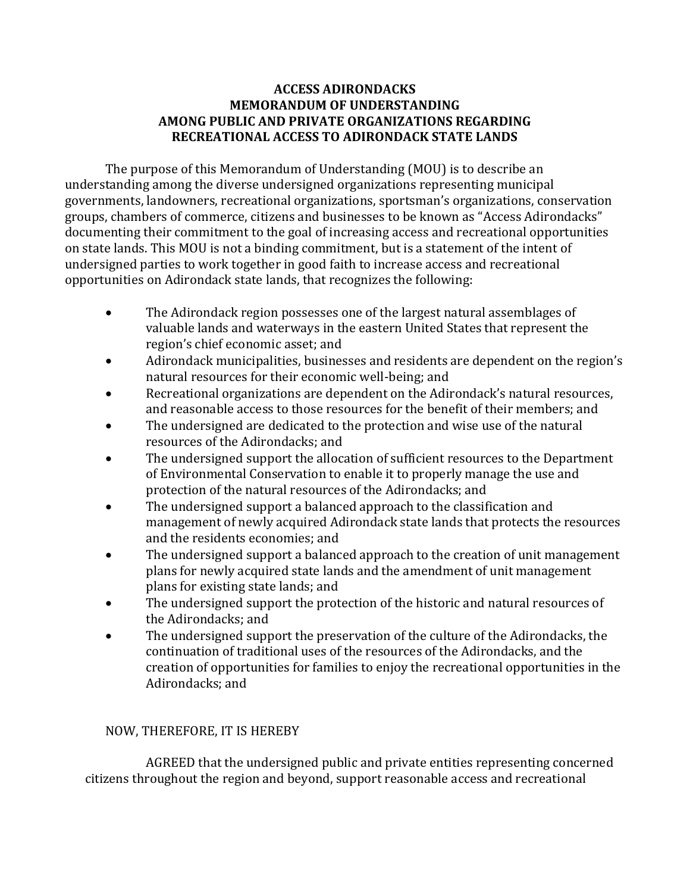## **ACCESS ADIRONDACKS MEMORANDUM OF UNDERSTANDING AMONG PUBLIC AND PRIVATE ORGANIZATIONS REGARDING RECREATIONAL ACCESS TO ADIRONDACK STATE LANDS**

The purpose of this Memorandum of Understanding (MOU) is to describe an understanding among the diverse undersigned organizations representing municipal governments, landowners, recreational organizations, sportsman's organizations, conservation groups, chambers of commerce, citizens and businesses to be known as "Access Adirondacks" documenting their commitment to the goal of increasing access and recreational opportunities on state lands. This MOU is not a binding commitment, but is a statement of the intent of undersigned parties to work together in good faith to increase access and recreational opportunities on Adirondack state lands, that recognizes the following:

- The Adirondack region possesses one of the largest natural assemblages of valuable lands and waterways in the eastern United States that represent the region's chief economic asset; and
- Adirondack municipalities, businesses and residents are dependent on the region's natural resources for their economic well-being; and
- Recreational organizations are dependent on the Adirondack's natural resources, and reasonable access to those resources for the benefit of their members; and
- The undersigned are dedicated to the protection and wise use of the natural resources of the Adirondacks; and
- The undersigned support the allocation of sufficient resources to the Department of Environmental Conservation to enable it to properly manage the use and protection of the natural resources of the Adirondacks; and
- The undersigned support a balanced approach to the classification and management of newly acquired Adirondack state lands that protects the resources and the residents economies; and
- The undersigned support a balanced approach to the creation of unit management plans for newly acquired state lands and the amendment of unit management plans for existing state lands; and
- The undersigned support the protection of the historic and natural resources of the Adirondacks; and
- The undersigned support the preservation of the culture of the Adirondacks, the continuation of traditional uses of the resources of the Adirondacks, and the creation of opportunities for families to enjoy the recreational opportunities in the Adirondacks; and

## NOW, THEREFORE, IT IS HEREBY

AGREED that the undersigned public and private entities representing concerned citizens throughout the region and beyond, support reasonable access and recreational